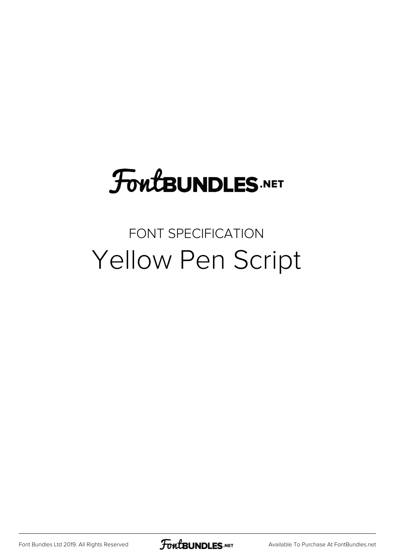# **FoutBUNDLES.NET**

## FONT SPECIFICATION Yellow Pen Script

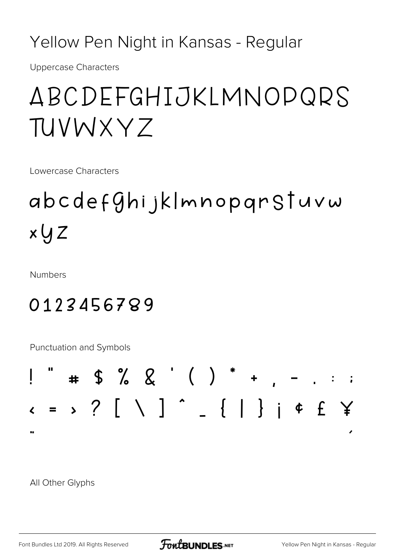Yellow Pen Night in Kansas - Regular

**Uppercase Characters** 

# ABCDEFGHIJKLMNOPQRS TUVWXY7

Lowercase Characters

# abcdef $9$ hijklmnopqrSTuvw  $x \cup Z$

**Numbers** 

## 0123456789

Punctuation and Symbols



All Other Glyphs

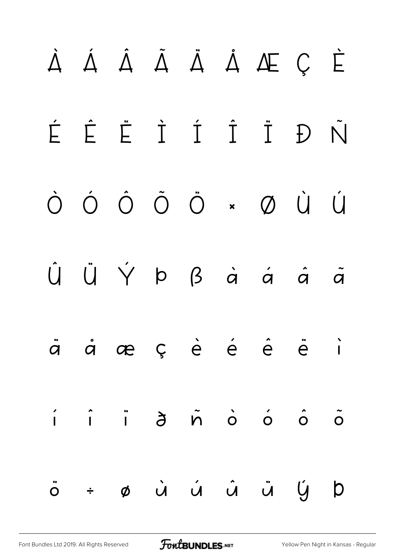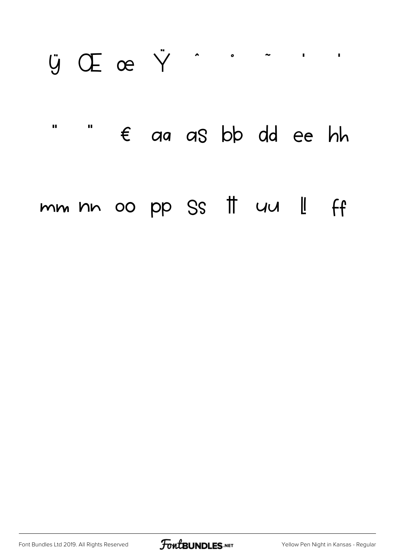## **U** Œ œ Ÿ  $\lambda$  $\bullet$  $\blacksquare$  $\mathbf{u}$  $\mathbf{u}$  $\epsilon$  aa as bb dd ee hh mm nn oo pp Ss # uu || ff

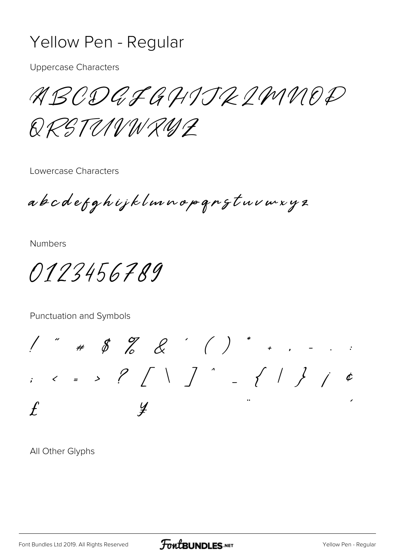#### Yellow Pen - Regular

**Uppercase Characters** 

ABODQFGHIJRIMMOD

QRSTUNWRUL

Lowercase Characters

abodefghijklmnopqngtuvmxyz

**Numbers** 

0123456789

Punctuation and Symbols

 $1''$  # \$ % & ' ( ) \* . . . .  $12.5 < 25.5$  $\int$  $\mathcal{Y}$ 

All Other Glyphs

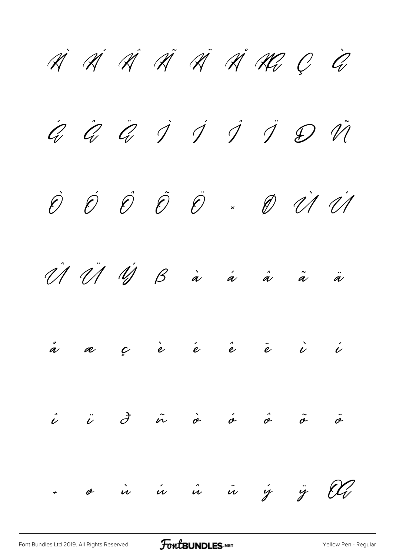À Á Â Ã Ä Å Æ Ç È  $\hat{Q}$   $\hat{Q}$   $\hat{Q}$   $\hat{J}$   $\hat{J}$   $\hat{J}$   $\hat{J}$   $\hat{Q}$   $\hat{V}$ Ò Ó Ô Õ Ö × Ø Ù Ú  $\hat{\mathscr{U}}$   $\hat{\mathscr{U}}$   $\hat{\mathscr{U}}$   $\hat{\mathscr{U}}$   $\hat{\mathscr{U}}$   $\hat{\mathscr{U}}$   $\hat{\mathscr{U}}$   $\hat{\mathscr{U}}$   $\hat{\mathscr{U}}$   $\hat{\mathscr{U}}$   $\hat{\mathscr{U}}$ å æ ç è é ê ë ì í  $\hat{\nu}$   $\ddot{\nu}$   $\dot{\sigma}$   $\dot{\sigma}$   $\dot{\sigma}$   $\ddot{\sigma}$   $\ddot{\sigma}$ ÷ ø ù ú û ü ý ÿ Œ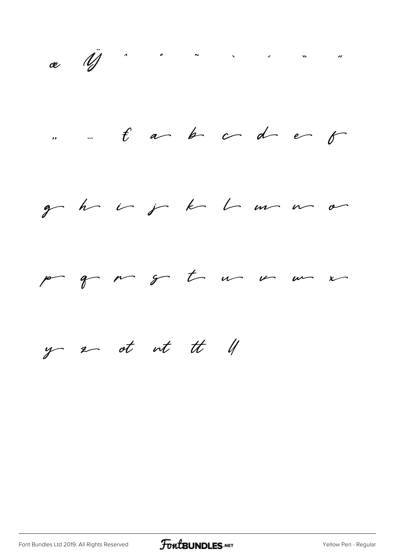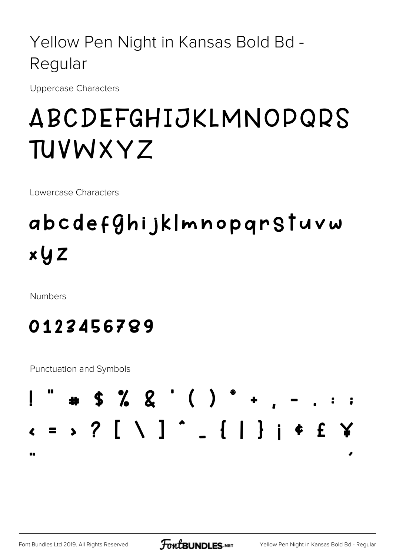### Yellow Pen Night in Kansas Bold Bd -Regular

Uppercase Characters

# ABCDEFGHIJKLMNOPQRS TUVWXYZ

Lowercase Characters

## abcdefghijk|mnopgrSTuvw  $x \cup Z$

**Numbers** 

## 0123456789

Punctuation and Symbols



**FOWLBUNDLES.NET**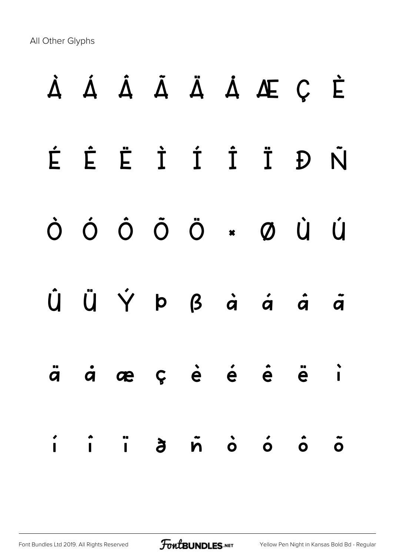All Other Glyphs

# **À Á Â Ã Ä Å Æ Ç È É Ê Ë Ì Í Î Ï Ð Ñ Ò Ó Ô Õ Ö × Ø Ù Ú Û Ü Ý Þ ß à á â ã ä å æ ç è é ê ë ì í î ï ð ñ ò ó ô õ**